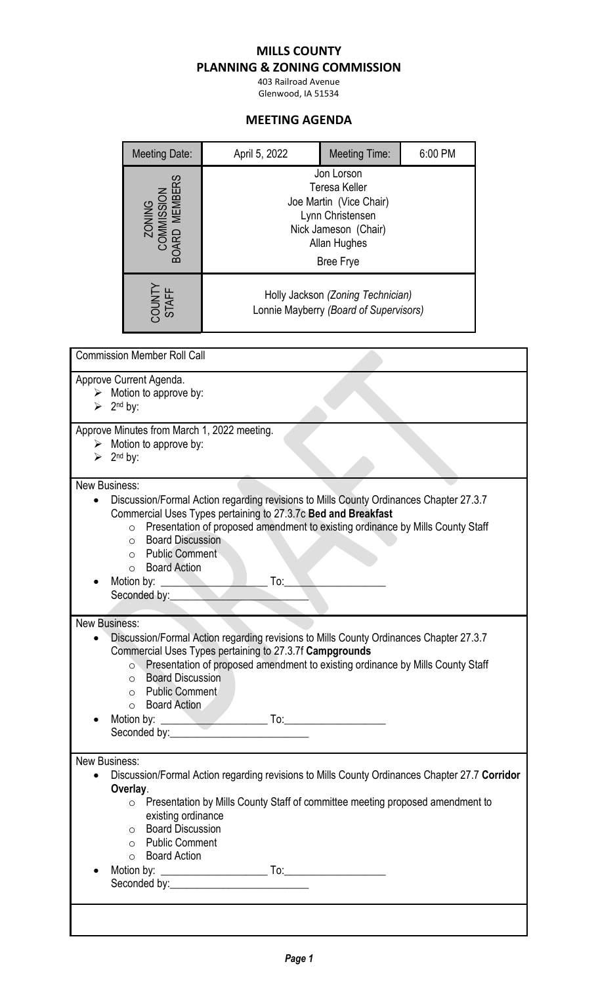## **MILLS COUNTY**

## **PLANNING & ZONING COMMISSION**

403 Railroad Avenue Glenwood, IA 51534

## **MEETING AGENDA**

|                           | <b>Meeting Date:</b>                                                                                                                       | April 5, 2022                                                                                                                                                                                                                                                                            | <b>Meeting Time:</b>                                                                                                                          | 6:00 PM |  |
|---------------------------|--------------------------------------------------------------------------------------------------------------------------------------------|------------------------------------------------------------------------------------------------------------------------------------------------------------------------------------------------------------------------------------------------------------------------------------------|-----------------------------------------------------------------------------------------------------------------------------------------------|---------|--|
|                           | zoning<br>Commission<br>Board Members                                                                                                      |                                                                                                                                                                                                                                                                                          | Jon Lorson<br><b>Teresa Keller</b><br>Joe Martin (Vice Chair)<br>Lynn Christensen<br>Nick Jameson (Chair)<br>Allan Hughes<br><b>Bree Frye</b> |         |  |
|                           | COUNTY<br>STAFF                                                                                                                            |                                                                                                                                                                                                                                                                                          | Holly Jackson (Zoning Technician)<br>Lonnie Mayberry (Board of Supervisors)                                                                   |         |  |
|                           | <b>Commission Member Roll Call</b>                                                                                                         |                                                                                                                                                                                                                                                                                          |                                                                                                                                               |         |  |
| ➤<br>≻                    | Approve Current Agenda.<br>Motion to approve by:<br>$2nd$ by:                                                                              |                                                                                                                                                                                                                                                                                          |                                                                                                                                               |         |  |
|                           | Approve Minutes from March 1, 2022 meeting.<br>Motion to approve by:<br>$2nd$ by:                                                          |                                                                                                                                                                                                                                                                                          |                                                                                                                                               |         |  |
| ⋗<br><b>New Business:</b> |                                                                                                                                            |                                                                                                                                                                                                                                                                                          |                                                                                                                                               |         |  |
|                           | $\circ$<br><b>Board Discussion</b><br>$\circ$<br><b>Public Comment</b><br>$\circ$<br><b>Board Action</b><br>$\circ$                        | Discussion/Formal Action regarding revisions to Mills County Ordinances Chapter 27.3.7<br>Commercial Uses Types pertaining to 27.3.7c Bed and Breakfast<br>Presentation of proposed amendment to existing ordinance by Mills County Staff                                                |                                                                                                                                               |         |  |
| <b>New Business:</b>      |                                                                                                                                            |                                                                                                                                                                                                                                                                                          |                                                                                                                                               |         |  |
|                           | $\circ$<br><b>Board Discussion</b><br>$\circ$<br><b>Public Comment</b><br>$\circ$<br>o Board Action                                        | Discussion/Formal Action regarding revisions to Mills County Ordinances Chapter 27.3.7<br>Commercial Uses Types pertaining to 27.3.7f Campgrounds<br>Presentation of proposed amendment to existing ordinance by Mills County Staff<br>Seconded by: <u>contract and the seconded</u> by: |                                                                                                                                               |         |  |
| <b>New Business:</b>      |                                                                                                                                            |                                                                                                                                                                                                                                                                                          |                                                                                                                                               |         |  |
|                           | Overlay.<br>existing ordinance<br><b>Board Discussion</b><br>$\circ$<br><b>Public Comment</b><br>$\circ$<br><b>Board Action</b><br>$\circ$ | Discussion/Formal Action regarding revisions to Mills County Ordinances Chapter 27.7 Corridor<br>o Presentation by Mills County Staff of committee meeting proposed amendment to                                                                                                         |                                                                                                                                               |         |  |